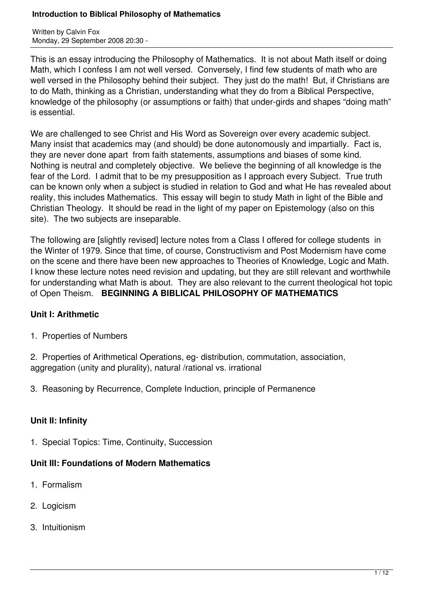Written by Calvin Fox Monday, 29 September 2008 20:30 -

This is an essay introducing the Philosophy of Mathematics. It is not about Math itself or doing Math, which I confess I am not well versed. Conversely, I find few students of math who are well versed in the Philosophy behind their subject. They just do the math! But, if Christians are to do Math, thinking as a Christian, understanding what they do from a Biblical Perspective, knowledge of the philosophy (or assumptions or faith) that under-girds and shapes "doing math" is essential.

We are challenged to see Christ and His Word as Sovereign over every academic subject. Many insist that academics may (and should) be done autonomously and impartially. Fact is, they are never done apart from faith statements, assumptions and biases of some kind. Nothing is neutral and completely objective. We believe the beginning of all knowledge is the fear of the Lord. I admit that to be my presupposition as I approach every Subject. True truth can be known only when a subject is studied in relation to God and what He has revealed about reality, this includes Mathematics. This essay will begin to study Math in light of the Bible and Christian Theology. It should be read in the light of my paper on Epistemology (also on this site). The two subjects are inseparable.

The following are [slightly revised] lecture notes from a Class I offered for college students in the Winter of 1979. Since that time, of course, Constructivism and Post Modernism have come on the scene and there have been new approaches to Theories of Knowledge, Logic and Math. I know these lecture notes need revision and updating, but they are still relevant and worthwhile for understanding what Math is about. They are also relevant to the current theological hot topic of Open Theism. **BEGINNING A BIBLICAL PHILOSOPHY OF MATHEMATICS**

# **Unit I: Arithmetic**

1. Properties of Numbers

2. Properties of Arithmetical Operations, eg- distribution, commutation, association, aggregation (unity and plurality), natural /rational vs. irrational

3. Reasoning by Recurrence, Complete Induction, principle of Permanence

### **Unit II: Infinity**

1. Special Topics: Time, Continuity, Succession

# **Unit III: Foundations of Modern Mathematics**

- 1. Formalism
- 2. Logicism
- 3. Intuitionism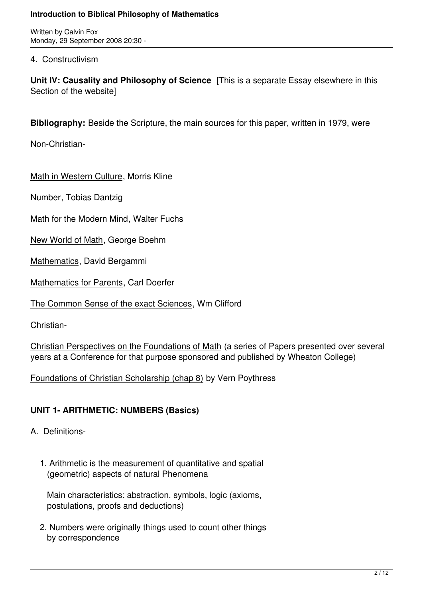Written by Calvin Fox Monday, 29 September 2008 20:30 -

4. Constructivism

**Unit IV: Causality and Philosophy of Science** [This is a separate Essay elsewhere in this Section of the website]

**Bibliography:** Beside the Scripture, the main sources for this paper, written in 1979, were

Non-Christian-

Math in Western Culture, Morris Kline

Number, Tobias Dantzig

Math for the Modern Mind, Walter Fuchs

New World of Math, George Boehm

Mathematics, David Bergammi

Mathematics for Parents, Carl Doerfer

The Common Sense of the exact Sciences, Wm Clifford

Christian-

Christian Perspectives on the Foundations of Math (a series of Papers presented over several years at a Conference for that purpose sponsored and published by Wheaton College)

Foundations of Christian Scholarship (chap 8) by Vern Poythress

# **UNIT 1- ARITHMETIC: NUMBERS (Basics)**

- A. Definitions-
	- 1. Arithmetic is the measurement of quantitative and spatial (geometric) aspects of natural Phenomena

 Main characteristics: abstraction, symbols, logic (axioms, postulations, proofs and deductions)

 2. Numbers were originally things used to count other things by correspondence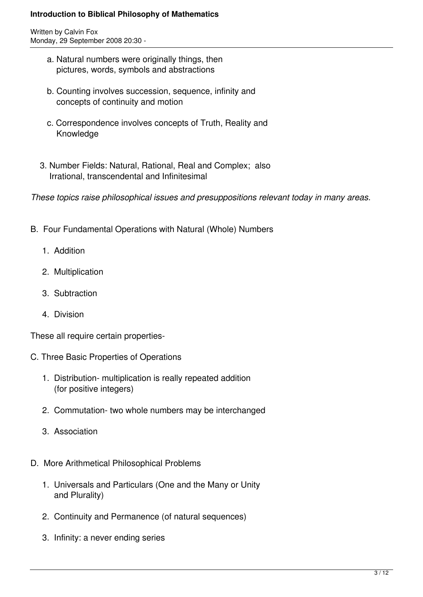Written by Calvin Fox Monday, 29 September 2008 20:30 -

- a. Natural numbers were originally things, then pictures, words, symbols and abstractions
- b. Counting involves succession, sequence, infinity and concepts of continuity and motion
- c. Correspondence involves concepts of Truth, Reality and Knowledge
- 3. Number Fields: Natural, Rational, Real and Complex; also Irrational, transcendental and Infinitesimal

*These topics raise philosophical issues and presuppositions relevant today in many areas.*

- B. Four Fundamental Operations with Natural (Whole) Numbers
	- 1. Addition
	- 2. Multiplication
	- 3. Subtraction
	- 4. Division

These all require certain properties-

- C. Three Basic Properties of Operations
	- 1. Distribution- multiplication is really repeated addition (for positive integers)
	- 2. Commutation- two whole numbers may be interchanged
	- 3. Association
- D. More Arithmetical Philosophical Problems
	- 1. Universals and Particulars (One and the Many or Unity and Plurality)
	- 2. Continuity and Permanence (of natural sequences)
	- 3. Infinity: a never ending series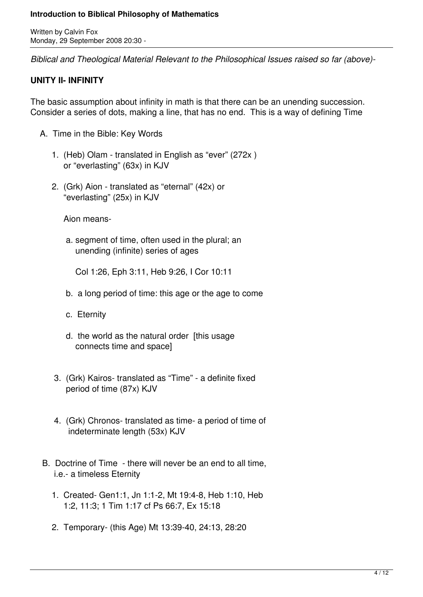Written by Calvin Fox Monday, 29 September 2008 20:30 -

*Biblical and Theological Material Relevant to the Philosophical Issues raised so far (above)-* 

# **UNITY II- INFINITY**

The basic assumption about infinity in math is that there can be an unending succession. Consider a series of dots, making a line, that has no end. This is a way of defining Time

- A. Time in the Bible: Key Words
	- 1. (Heb) Olam translated in English as "ever" (272x ) or "everlasting" (63x) in KJV
	- 2. (Grk) Aion translated as "eternal" (42x) or "everlasting" (25x) in KJV

Aion means-

 a. segment of time, often used in the plural; an unending (infinite) series of ages

Col 1:26, Eph 3:11, Heb 9:26, I Cor 10:11

- b. a long period of time: this age or the age to come
- c. Eternity
- d. the world as the natural order [this usage connects time and space]
- 3. (Grk) Kairos- translated as "Time" a definite fixed period of time (87x) KJV
- 4. (Grk) Chronos- translated as time- a period of time of indeterminate length (53x) KJV
- B. Doctrine of Time there will never be an end to all time, i.e.- a timeless Eternity
	- 1. Created- Gen1:1, Jn 1:1-2, Mt 19:4-8, Heb 1:10, Heb 1:2, 11:3; 1 Tim 1:17 cf Ps 66:7, Ex 15:18
	- 2. Temporary- (this Age) Mt 13:39-40, 24:13, 28:20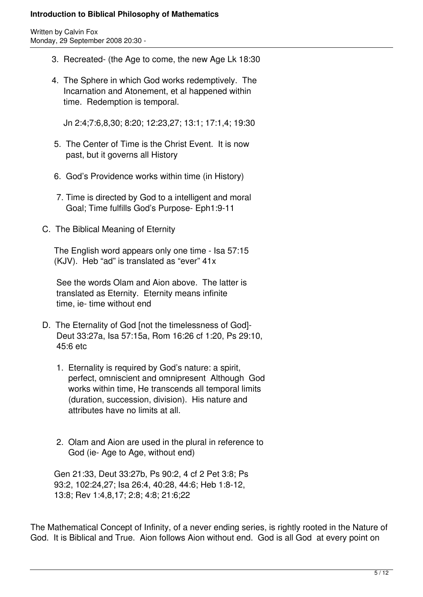Written by Calvin Fox Monday, 29 September 2008 20:30 -

- 3. Recreated- (the Age to come, the new Age Lk 18:30
- 4. The Sphere in which God works redemptively. The Incarnation and Atonement, et al happened within time. Redemption is temporal.

Jn 2:4;7:6,8,30; 8:20; 12:23,27; 13:1; 17:1,4; 19:30

- 5. The Center of Time is the Christ Event. It is now past, but it governs all History
- 6. God's Providence works within time (in History)
- 7. Time is directed by God to a intelligent and moral Goal; Time fulfills God's Purpose- Eph1:9-11
- C. The Biblical Meaning of Eternity

 The English word appears only one time - Isa 57:15 (KJV). Heb "ad" is translated as "ever" 41x

 See the words Olam and Aion above. The latter is translated as Eternity. Eternity means infinite time, ie- time without end

- D. The Eternality of God [not the timelessness of God]- Deut 33:27a, Isa 57:15a, Rom 16:26 cf 1:20, Ps 29:10, 45:6 etc
	- 1. Eternality is required by God's nature: a spirit, perfect, omniscient and omnipresent Although God works within time, He transcends all temporal limits (duration, succession, division). His nature and attributes have no limits at all.
	- 2. Olam and Aion are used in the plural in reference to God (ie- Age to Age, without end)

 Gen 21:33, Deut 33:27b, Ps 90:2, 4 cf 2 Pet 3:8; Ps 93:2, 102:24,27; Isa 26:4, 40:28, 44:6; Heb 1:8-12, 13:8; Rev 1:4,8,17; 2:8; 4:8; 21:6;22

The Mathematical Concept of Infinity, of a never ending series, is rightly rooted in the Nature of God. It is Biblical and True. Aion follows Aion without end. God is all God at every point on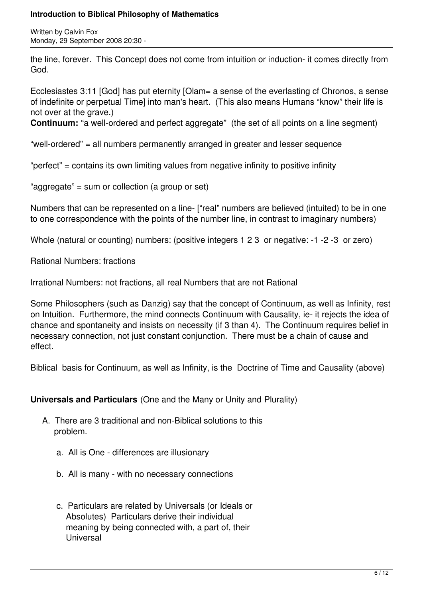Written by Calvin Fox Monday, 29 September 2008 20:30 -

the line, forever. This Concept does not come from intuition or induction- it comes directly from God.

Ecclesiastes 3:11 [God] has put eternity [Olam= a sense of the everlasting cf Chronos, a sense of indefinite or perpetual Time] into man's heart. (This also means Humans "know" their life is not over at the grave.)

**Continuum:** "a well-ordered and perfect aggregate" (the set of all points on a line segment)

"well-ordered" = all numbers permanently arranged in greater and lesser sequence

"perfect" = contains its own limiting values from negative infinity to positive infinity

"aggregate" = sum or collection (a group or set)

Numbers that can be represented on a line- ["real" numbers are believed (intuited) to be in one to one correspondence with the points of the number line, in contrast to imaginary numbers)

Whole (natural or counting) numbers: (positive integers 1 2 3 or negative: -1 -2 -3 or zero)

Rational Numbers: fractions

Irrational Numbers: not fractions, all real Numbers that are not Rational

Some Philosophers (such as Danzig) say that the concept of Continuum, as well as Infinity, rest on Intuition. Furthermore, the mind connects Continuum with Causality, ie- it rejects the idea of chance and spontaneity and insists on necessity (if 3 than 4). The Continuum requires belief in necessary connection, not just constant conjunction. There must be a chain of cause and effect.

Biblical basis for Continuum, as well as Infinity, is the Doctrine of Time and Causality (above)

**Universals and Particulars** (One and the Many or Unity and Plurality)

- A. There are 3 traditional and non-Biblical solutions to this problem.
	- a. All is One differences are illusionary
	- b. All is many with no necessary connections
	- c. Particulars are related by Universals (or Ideals or Absolutes) Particulars derive their individual meaning by being connected with, a part of, their Universal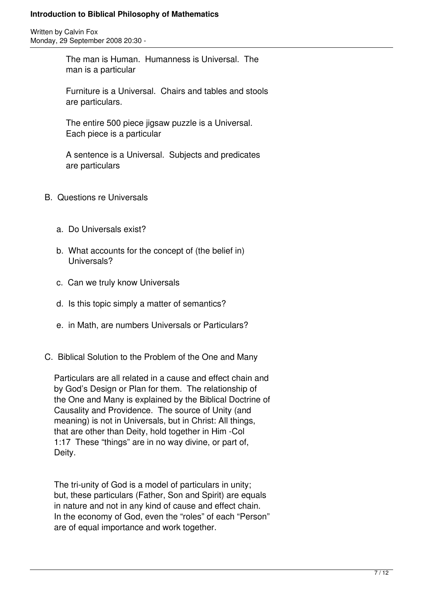Written by Calvin Fox Monday, 29 September 2008 20:30 -

> The man is Human. Humanness is Universal. The man is a particular

 Furniture is a Universal. Chairs and tables and stools are particulars.

 The entire 500 piece jigsaw puzzle is a Universal. Each piece is a particular

 A sentence is a Universal. Subjects and predicates are particulars

- B. Questions re Universals
	- a. Do Universals exist?
	- b. What accounts for the concept of (the belief in) Universals?
	- c. Can we truly know Universals
	- d. Is this topic simply a matter of semantics?
	- e. in Math, are numbers Universals or Particulars?
- C. Biblical Solution to the Problem of the One and Many

 Particulars are all related in a cause and effect chain and by God's Design or Plan for them. The relationship of the One and Many is explained by the Biblical Doctrine of Causality and Providence. The source of Unity (and meaning) is not in Universals, but in Christ: All things, that are other than Deity, hold together in Him -Col 1:17 These "things" are in no way divine, or part of, Deity.

 The tri-unity of God is a model of particulars in unity; but, these particulars (Father, Son and Spirit) are equals in nature and not in any kind of cause and effect chain. In the economy of God, even the "roles" of each "Person" are of equal importance and work together.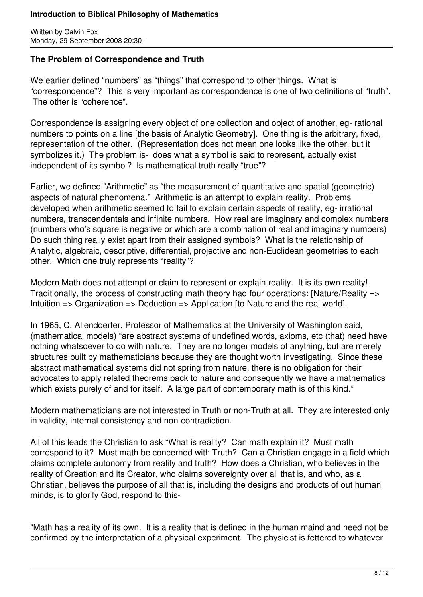Written by Calvin Fox Monday, 29 September 2008 20:30 -

### **The Problem of Correspondence and Truth**

We earlier defined "numbers" as "things" that correspond to other things. What is "correspondence"? This is very important as correspondence is one of two definitions of "truth". The other is "coherence".

Correspondence is assigning every object of one collection and object of another, eg- rational numbers to points on a line [the basis of Analytic Geometry]. One thing is the arbitrary, fixed, representation of the other. (Representation does not mean one looks like the other, but it symbolizes it.) The problem is- does what a symbol is said to represent, actually exist independent of its symbol? Is mathematical truth really "true"?

Earlier, we defined "Arithmetic" as "the measurement of quantitative and spatial (geometric) aspects of natural phenomena." Arithmetic is an attempt to explain reality. Problems developed when arithmetic seemed to fail to explain certain aspects of reality, eg- irrational numbers, transcendentals and infinite numbers. How real are imaginary and complex numbers (numbers who's square is negative or which are a combination of real and imaginary numbers) Do such thing really exist apart from their assigned symbols? What is the relationship of Analytic, algebraic, descriptive, differential, projective and non-Euclidean geometries to each other. Which one truly represents "reality"?

Modern Math does not attempt or claim to represent or explain reality. It is its own reality! Traditionally, the process of constructing math theory had four operations: [Nature/Reality => Intuition => Organization => Deduction => Application [to Nature and the real world].

In 1965, C. Allendoerfer, Professor of Mathematics at the University of Washington said, (mathematical models) "are abstract systems of undefined words, axioms, etc (that) need have nothing whatsoever to do with nature. They are no longer models of anything, but are merely structures built by mathematicians because they are thought worth investigating. Since these abstract mathematical systems did not spring from nature, there is no obligation for their advocates to apply related theorems back to nature and consequently we have a mathematics which exists purely of and for itself. A large part of contemporary math is of this kind."

Modern mathematicians are not interested in Truth or non-Truth at all. They are interested only in validity, internal consistency and non-contradiction.

All of this leads the Christian to ask "What is reality? Can math explain it? Must math correspond to it? Must math be concerned with Truth? Can a Christian engage in a field which claims complete autonomy from reality and truth? How does a Christian, who believes in the reality of Creation and its Creator, who claims sovereignty over all that is, and who, as a Christian, believes the purpose of all that is, including the designs and products of out human minds, is to glorify God, respond to this-

"Math has a reality of its own. It is a reality that is defined in the human maind and need not be confirmed by the interpretation of a physical experiment. The physicist is fettered to whatever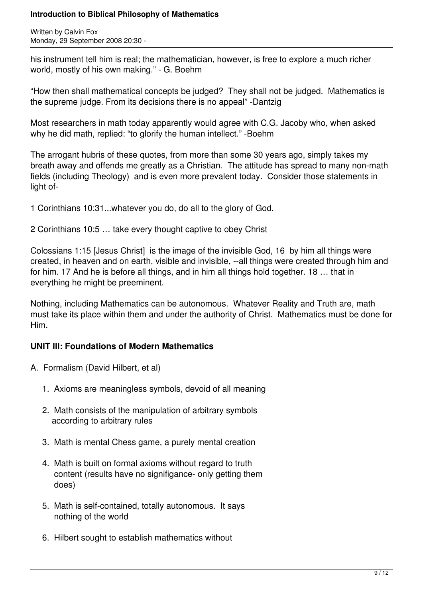Written by Calvin Fox Monday, 29 September 2008 20:30 -

his instrument tell him is real; the mathematician, however, is free to explore a much richer world, mostly of his own making." - G. Boehm

"How then shall mathematical concepts be judged? They shall not be judged. Mathematics is the supreme judge. From its decisions there is no appeal" -Dantzig

Most researchers in math today apparently would agree with C.G. Jacoby who, when asked why he did math, replied: "to glorify the human intellect." -Boehm

The arrogant hubris of these quotes, from more than some 30 years ago, simply takes my breath away and offends me greatly as a Christian. The attitude has spread to many non-math fields (including Theology) and is even more prevalent today. Consider those statements in light of-

1 Corinthians 10:31...whatever you do, do all to the glory of God.

2 Corinthians 10:5 … take every thought captive to obey Christ

Colossians 1:15 [Jesus Christ] is the image of the invisible God, 16 by him all things were created, in heaven and on earth, visible and invisible, --all things were created through him and for him. 17 And he is before all things, and in him all things hold together. 18 … that in everything he might be preeminent.

Nothing, including Mathematics can be autonomous. Whatever Reality and Truth are, math must take its place within them and under the authority of Christ. Mathematics must be done for Him.

# **UNIT III: Foundations of Modern Mathematics**

- A. Formalism (David Hilbert, et al)
	- 1. Axioms are meaningless symbols, devoid of all meaning
	- 2. Math consists of the manipulation of arbitrary symbols according to arbitrary rules
	- 3. Math is mental Chess game, a purely mental creation
	- 4. Math is built on formal axioms without regard to truth content (results have no signifigance- only getting them does)
	- 5. Math is self-contained, totally autonomous. It says nothing of the world
	- 6. Hilbert sought to establish mathematics without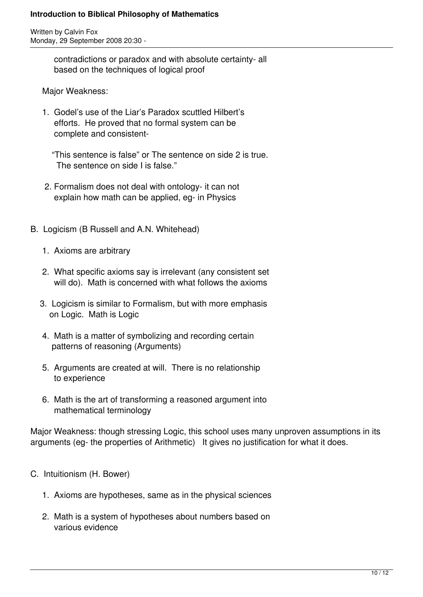Written by Calvin Fox Monday, 29 September 2008 20:30 -

> contradictions or paradox and with absolute certainty- all based on the techniques of logical proof

Major Weakness:

 1. Godel's use of the Liar's Paradox scuttled Hilbert's efforts. He proved that no formal system can be complete and consistent-

 "This sentence is false" or The sentence on side 2 is true. The sentence on side I is false."

- 2. Formalism does not deal with ontology- it can not explain how math can be applied, eg- in Physics
- B. Logicism (B Russell and A.N. Whitehead)
	- 1. Axioms are arbitrary
	- 2. What specific axioms say is irrelevant (any consistent set will do). Math is concerned with what follows the axioms
	- 3. Logicism is similar to Formalism, but with more emphasis on Logic. Math is Logic
	- 4. Math is a matter of symbolizing and recording certain patterns of reasoning (Arguments)
	- 5. Arguments are created at will. There is no relationship to experience
	- 6. Math is the art of transforming a reasoned argument into mathematical terminology

Major Weakness: though stressing Logic, this school uses many unproven assumptions in its arguments (eg- the properties of Arithmetic) It gives no justification for what it does.

- C. Intuitionism (H. Bower)
	- 1. Axioms are hypotheses, same as in the physical sciences
	- 2. Math is a system of hypotheses about numbers based on various evidence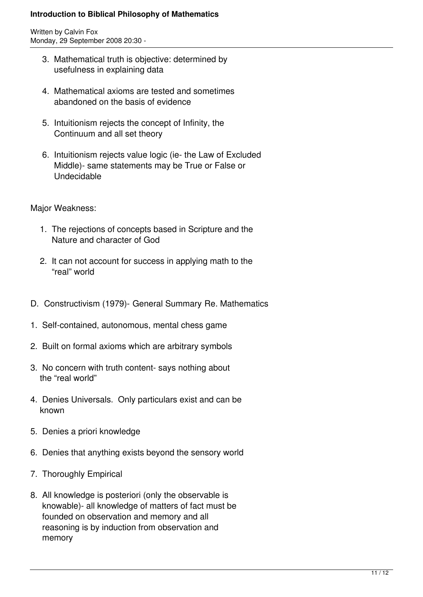Written by Calvin Fox Monday, 29 September 2008 20:30 -

- 3. Mathematical truth is objective: determined by usefulness in explaining data
- 4. Mathematical axioms are tested and sometimes abandoned on the basis of evidence
- 5. Intuitionism rejects the concept of Infinity, the Continuum and all set theory
- 6. Intuitionism rejects value logic (ie- the Law of Excluded Middle)- same statements may be True or False or Undecidable

Major Weakness:

- 1. The rejections of concepts based in Scripture and the Nature and character of God
- 2. It can not account for success in applying math to the "real" world
- D. Constructivism (1979)- General Summary Re. Mathematics
- 1. Self-contained, autonomous, mental chess game
- 2. Built on formal axioms which are arbitrary symbols
- 3. No concern with truth content- says nothing about the "real world"
- 4. Denies Universals. Only particulars exist and can be known
- 5. Denies a priori knowledge
- 6. Denies that anything exists beyond the sensory world
- 7. Thoroughly Empirical
- 8. All knowledge is posteriori (only the observable is knowable)- all knowledge of matters of fact must be founded on observation and memory and all reasoning is by induction from observation and memory